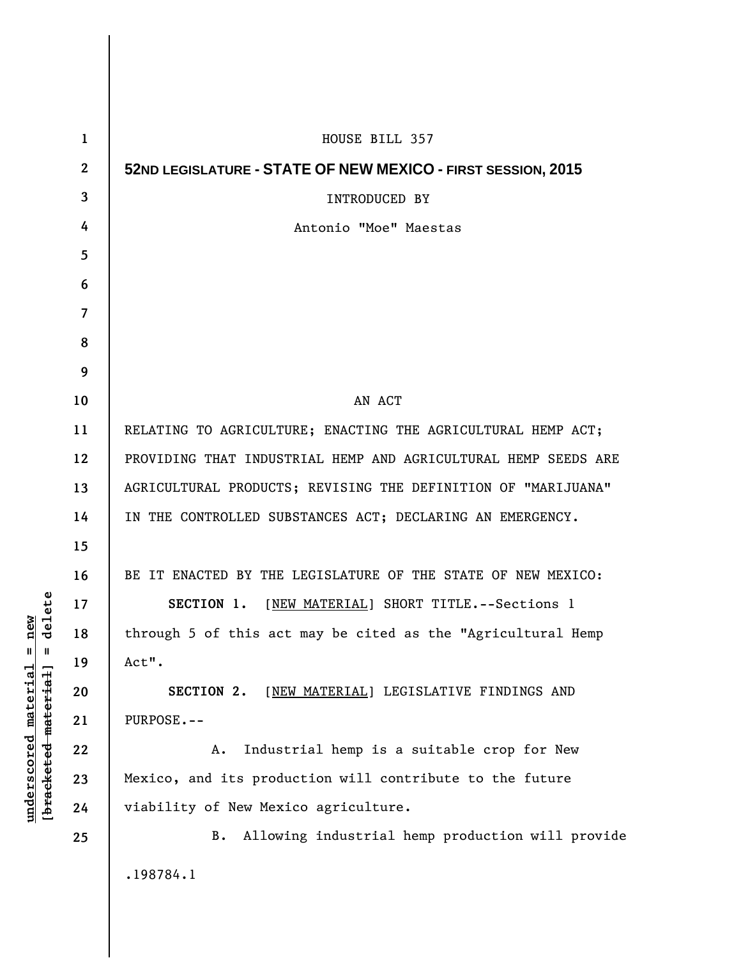| $\mathbf 1$  | HOUSE BILL 357                                                 |
|--------------|----------------------------------------------------------------|
| $\mathbf{2}$ | 52ND LEGISLATURE - STATE OF NEW MEXICO - FIRST SESSION, 2015   |
| 3            | INTRODUCED BY                                                  |
| 4            | Antonio "Moe" Maestas                                          |
| 5            |                                                                |
| 6            |                                                                |
| 7            |                                                                |
| 8            |                                                                |
| 9            |                                                                |
| 10           | AN ACT                                                         |
| 11           | RELATING TO AGRICULTURE; ENACTING THE AGRICULTURAL HEMP ACT;   |
| 12           | PROVIDING THAT INDUSTRIAL HEMP AND AGRICULTURAL HEMP SEEDS ARE |
| 13           | AGRICULTURAL PRODUCTS; REVISING THE DEFINITION OF "MARIJUANA"  |
| 14           | IN THE CONTROLLED SUBSTANCES ACT; DECLARING AN EMERGENCY.      |
| 15           |                                                                |
| 16           | BE IT ENACTED BY THE LEGISLATURE OF THE STATE OF NEW MEXICO:   |
| 17           | SECTION 1. [NEW MATERIAL] SHORT TITLE. -- Sections 1           |
| 18           | through 5 of this act may be cited as the "Agricultural Hemp   |
| 19           | Act".                                                          |
| 20           | SECTION 2. [NEW MATERIAL] LEGISLATIVE FINDINGS AND             |
| 21           | PURPOSE.--                                                     |
| 22           | Industrial hemp is a suitable crop for New<br>Α.               |
| 23           | Mexico, and its production will contribute to the future       |
| 24           | viability of New Mexico agriculture.                           |
| 25           | Allowing industrial hemp production will provide<br>B.         |
|              | .198784.1                                                      |
|              |                                                                |

**underscored material = new [bracketed material] = delete**

 $[bracketeed-materiat] = delete$  $underscored material = new$ 

 $\mathsf I$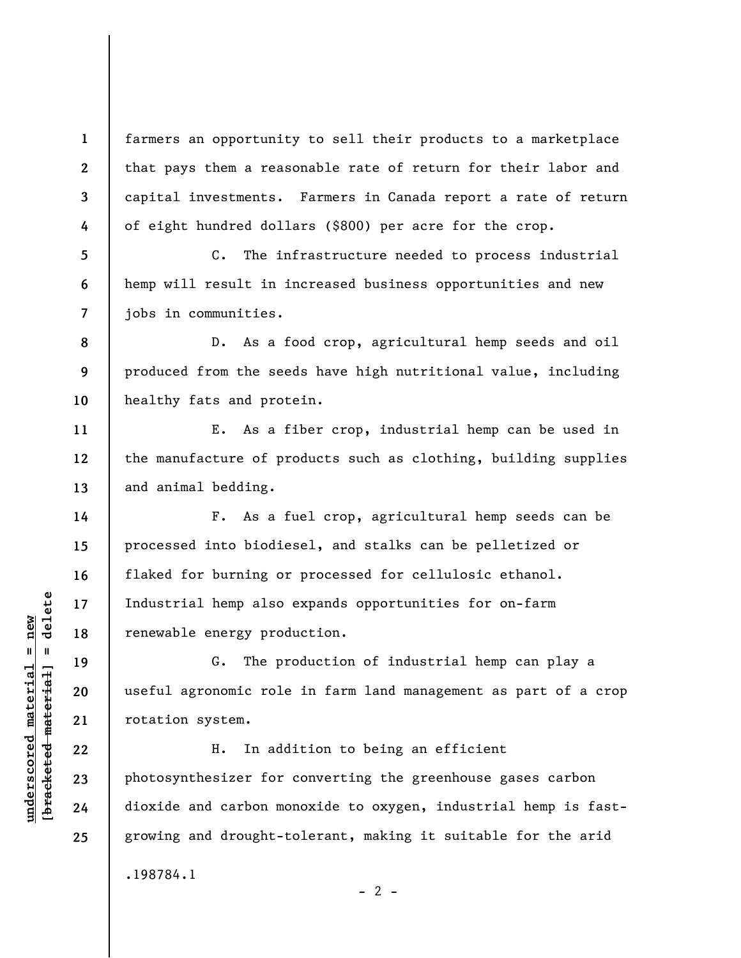farmers an opportunity to sell their products to a marketplace that pays them a reasonable rate of return for their labor and capital investments. Farmers in Canada report a rate of return of eight hundred dollars (\$800) per acre for the crop.

C. The infrastructure needed to process industrial hemp will result in increased business opportunities and new jobs in communities.

**8 9 10**  D. As a food crop, agricultural hemp seeds and oil produced from the seeds have high nutritional value, including healthy fats and protein.

E. As a fiber crop, industrial hemp can be used in the manufacture of products such as clothing, building supplies and animal bedding.

F. As a fuel crop, agricultural hemp seeds can be processed into biodiesel, and stalks can be pelletized or flaked for burning or processed for cellulosic ethanol. Industrial hemp also expands opportunities for on-farm renewable energy production.

G. The production of industrial hemp can play a useful agronomic role in farm land management as part of a crop rotation system.

H. In addition to being an efficient photosynthesizer for converting the greenhouse gases carbon dioxide and carbon monoxide to oxygen, industrial hemp is fastgrowing and drought-tolerant, making it suitable for the arid .198784.1

 $- 2 -$ 

**1** 

**2** 

**3** 

**4** 

**5** 

**6** 

**7** 

**11** 

**12** 

**13** 

**14** 

**15** 

**16** 

**17** 

**18** 

**19** 

**20** 

**21** 

**22** 

**23** 

**24**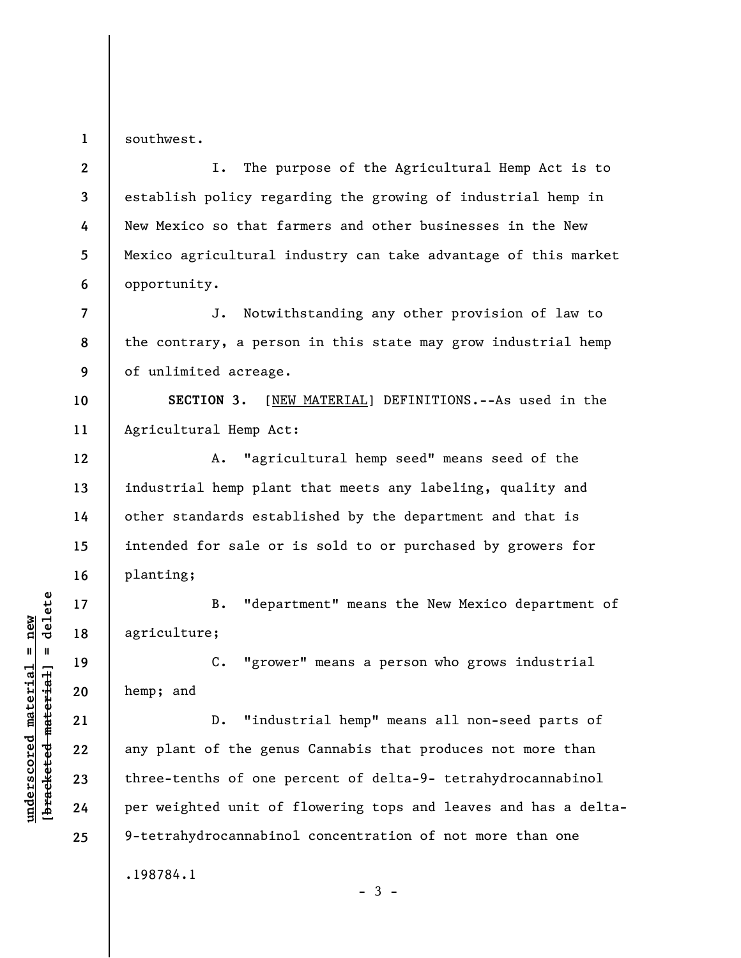**1**  southwest.

**7** 

**9** 

**12** 

**13** 

**14** 

**15** 

**16** 

**17** 

**18** 

**19** 

**20** 

**21** 

**22** 

**23** 

**24** 

**25** 

**2 3 4 5 6**  I. The purpose of the Agricultural Hemp Act is to establish policy regarding the growing of industrial hemp in New Mexico so that farmers and other businesses in the New Mexico agricultural industry can take advantage of this market opportunity.

**8**  J. Notwithstanding any other provision of law to the contrary, a person in this state may grow industrial hemp of unlimited acreage.

**10 11 SECTION 3.** [NEW MATERIAL] DEFINITIONS.--As used in the Agricultural Hemp Act:

A. "agricultural hemp seed" means seed of the industrial hemp plant that meets any labeling, quality and other standards established by the department and that is intended for sale or is sold to or purchased by growers for planting;

B. "department" means the New Mexico department of agriculture;

C. "grower" means a person who grows industrial hemp; and

D. "industrial hemp" means all non-seed parts of any plant of the genus Cannabis that produces not more than three-tenths of one percent of delta-9- tetrahydrocannabinol per weighted unit of flowering tops and leaves and has a delta-9-tetrahydrocannabinol concentration of not more than one .198784.1

 $-3 -$ 

 $b$ racketed material] = delete **[bracketed material] = delete**  $underscored material = new$ **underscored material = new**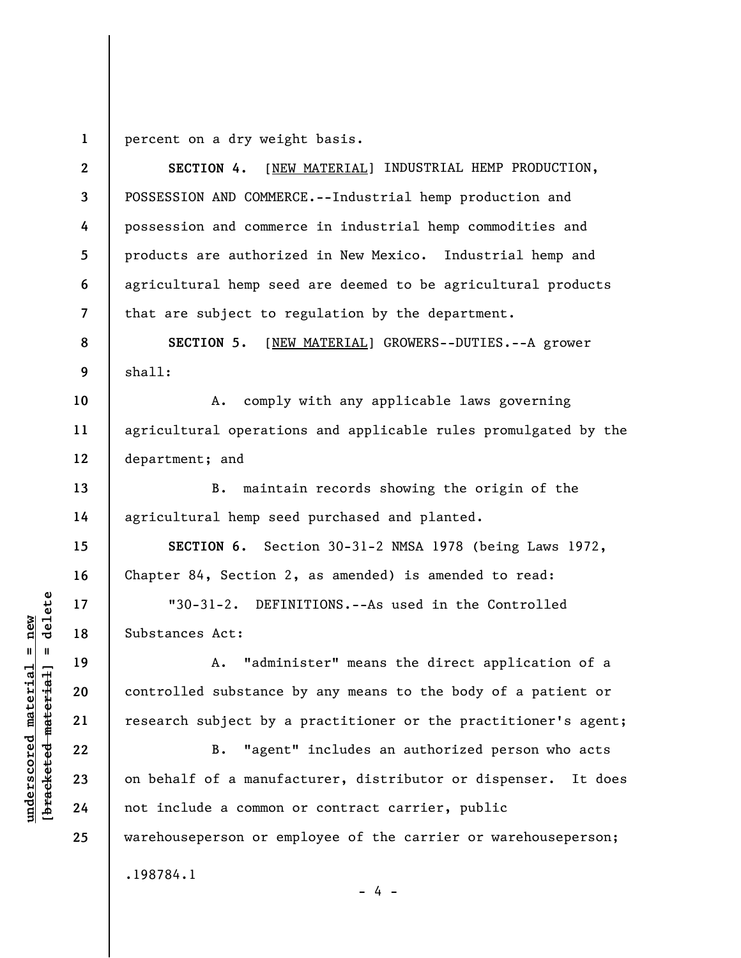**1**  percent on a dry weight basis.

**2 3 4 5 6 7 8 9 10 11 12 13 14 15 16 17 18 19 20 21 22 23 24 25 SECTION 4.** [NEW MATERIAL] INDUSTRIAL HEMP PRODUCTION, POSSESSION AND COMMERCE.--Industrial hemp production and possession and commerce in industrial hemp commodities and products are authorized in New Mexico. Industrial hemp and agricultural hemp seed are deemed to be agricultural products that are subject to regulation by the department. **SECTION 5.** [NEW MATERIAL] GROWERS--DUTIES.--A grower shall: A. comply with any applicable laws governing agricultural operations and applicable rules promulgated by the department; and B. maintain records showing the origin of the agricultural hemp seed purchased and planted. **SECTION 6.** Section 30-31-2 NMSA 1978 (being Laws 1972, Chapter 84, Section 2, as amended) is amended to read: "30-31-2. DEFINITIONS.--As used in the Controlled Substances Act: A. "administer" means the direct application of a controlled substance by any means to the body of a patient or research subject by a practitioner or the practitioner's agent; B. "agent" includes an authorized person who acts on behalf of a manufacturer, distributor or dispenser. It does not include a common or contract carrier, public warehouseperson or employee of the carrier or warehouseperson; .198784.1

 $b$ racketed material] = delete **[bracketed material] = delete**  $underscored material = new$ **underscored material = new**

- 4 -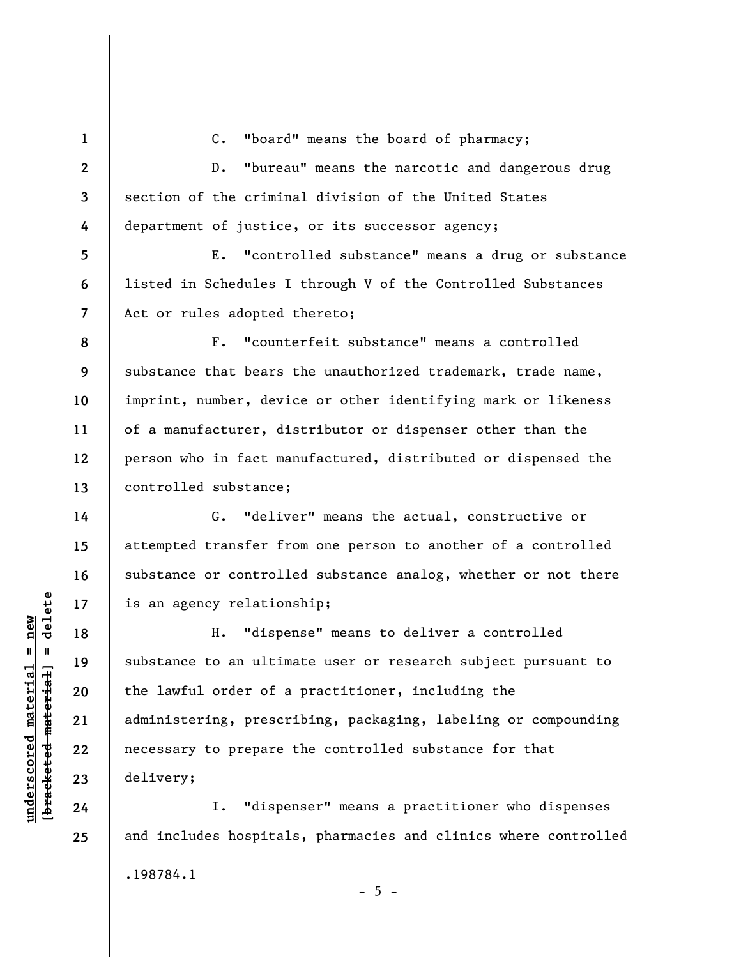C. "board" means the board of pharmacy;

**2 3 4**  D. "bureau" means the narcotic and dangerous drug section of the criminal division of the United States department of justice, or its successor agency;

E. "controlled substance" means a drug or substance listed in Schedules I through V of the Controlled Substances Act or rules adopted thereto;

F. "counterfeit substance" means a controlled substance that bears the unauthorized trademark, trade name, imprint, number, device or other identifying mark or likeness of a manufacturer, distributor or dispenser other than the person who in fact manufactured, distributed or dispensed the controlled substance;

G. "deliver" means the actual, constructive or attempted transfer from one person to another of a controlled substance or controlled substance analog, whether or not there is an agency relationship;

H. "dispense" means to deliver a controlled substance to an ultimate user or research subject pursuant to the lawful order of a practitioner, including the administering, prescribing, packaging, labeling or compounding necessary to prepare the controlled substance for that delivery;

I. "dispenser" means a practitioner who dispenses and includes hospitals, pharmacies and clinics where controlled .198784.1  $- 5 -$ 

 $\frac{1}{2}$  intereted material = delete **[bracketed material] = delete**  $underscored material = new$ **underscored material = new**

**1** 

**5** 

**6** 

**7** 

**8** 

**9** 

**10** 

**11** 

**12** 

**13** 

**14** 

**15** 

**16** 

**17** 

**18** 

**19** 

**20** 

**21** 

**22** 

**23** 

**24**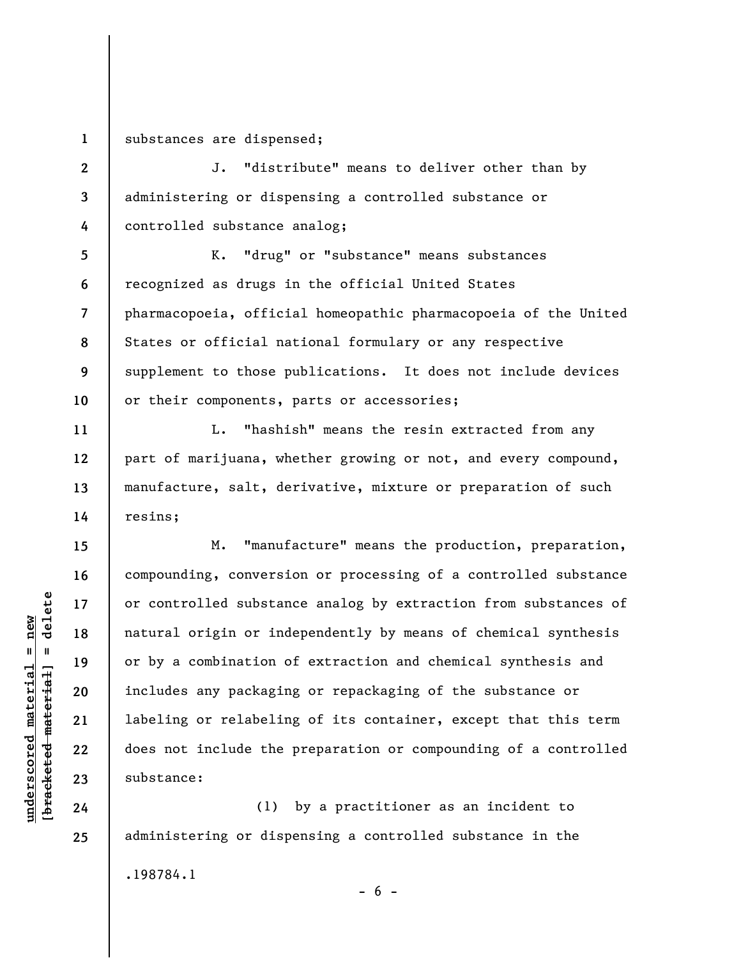**1**  substances are dispensed;

**2 3 4**  J. "distribute" means to deliver other than by administering or dispensing a controlled substance or controlled substance analog;

**5 6 7 8 9 10**  K. "drug" or "substance" means substances recognized as drugs in the official United States pharmacopoeia, official homeopathic pharmacopoeia of the United States or official national formulary or any respective supplement to those publications. It does not include devices or their components, parts or accessories;

L. "hashish" means the resin extracted from any part of marijuana, whether growing or not, and every compound, manufacture, salt, derivative, mixture or preparation of such resins;

M. "manufacture" means the production, preparation, compounding, conversion or processing of a controlled substance or controlled substance analog by extraction from substances of natural origin or independently by means of chemical synthesis or by a combination of extraction and chemical synthesis and includes any packaging or repackaging of the substance or labeling or relabeling of its container, except that this term does not include the preparation or compounding of a controlled substance:

(1) by a practitioner as an incident to administering or dispensing a controlled substance in the .198784.1  $- 6 -$ 

 $\frac{1}{2}$  intereted material = delete **[bracketed material] = delete**  $underscored material = new$ **underscored material = new**

**11** 

**12** 

**13** 

**14** 

**15** 

**16** 

**17** 

**18** 

**19** 

**20** 

**21** 

**22** 

**23** 

**24**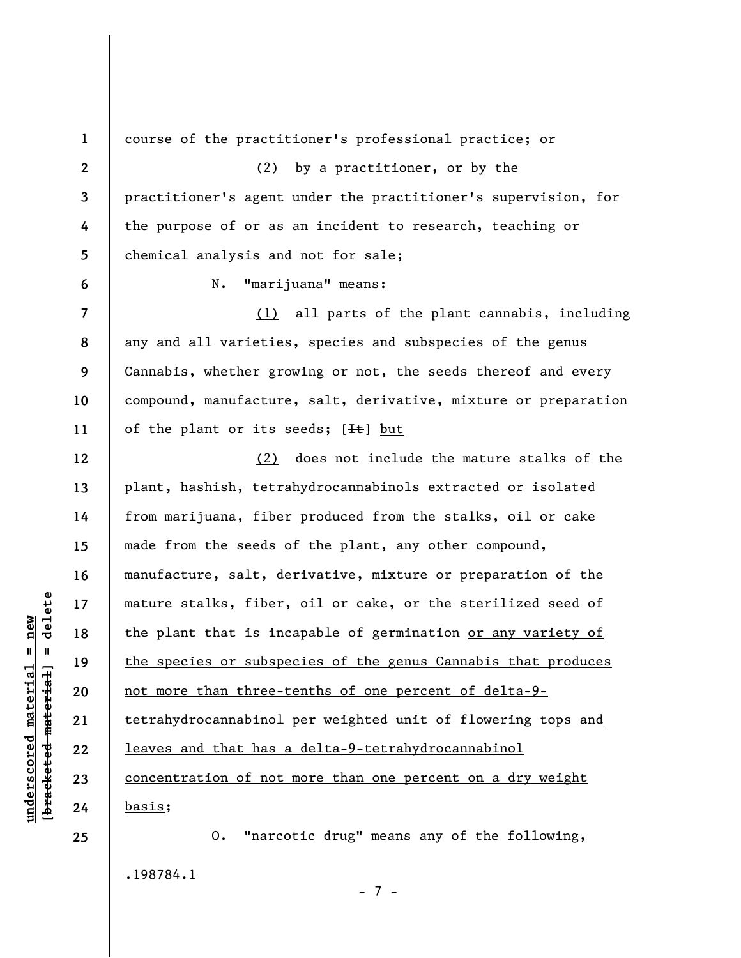**1 2 3 4 5 6 7 8 9 10 11 12 13 14 15 16 17 18 19 20 21 22 23 24 25**  course of the practitioner's professional practice; or (2) by a practitioner, or by the practitioner's agent under the practitioner's supervision, for the purpose of or as an incident to research, teaching or chemical analysis and not for sale; N. "marijuana" means: (1) all parts of the plant cannabis, including any and all varieties, species and subspecies of the genus Cannabis, whether growing or not, the seeds thereof and every compound, manufacture, salt, derivative, mixture or preparation of the plant or its seeds;  $[He]$  but (2) does not include the mature stalks of the plant, hashish, tetrahydrocannabinols extracted or isolated from marijuana, fiber produced from the stalks, oil or cake made from the seeds of the plant, any other compound, manufacture, salt, derivative, mixture or preparation of the mature stalks, fiber, oil or cake, or the sterilized seed of the plant that is incapable of germination or any variety of the species or subspecies of the genus Cannabis that produces not more than three-tenths of one percent of delta-9 tetrahydrocannabinol per weighted unit of flowering tops and leaves and that has a delta-9-tetrahydrocannabinol concentration of not more than one percent on a dry weight basis; O. "narcotic drug" means any of the following,

.198784.1

**underscored material = new [bracketed material] = delete**

 $\frac{1}{2}$  intereted material = delete  $underscored material = new$ 

- 7 -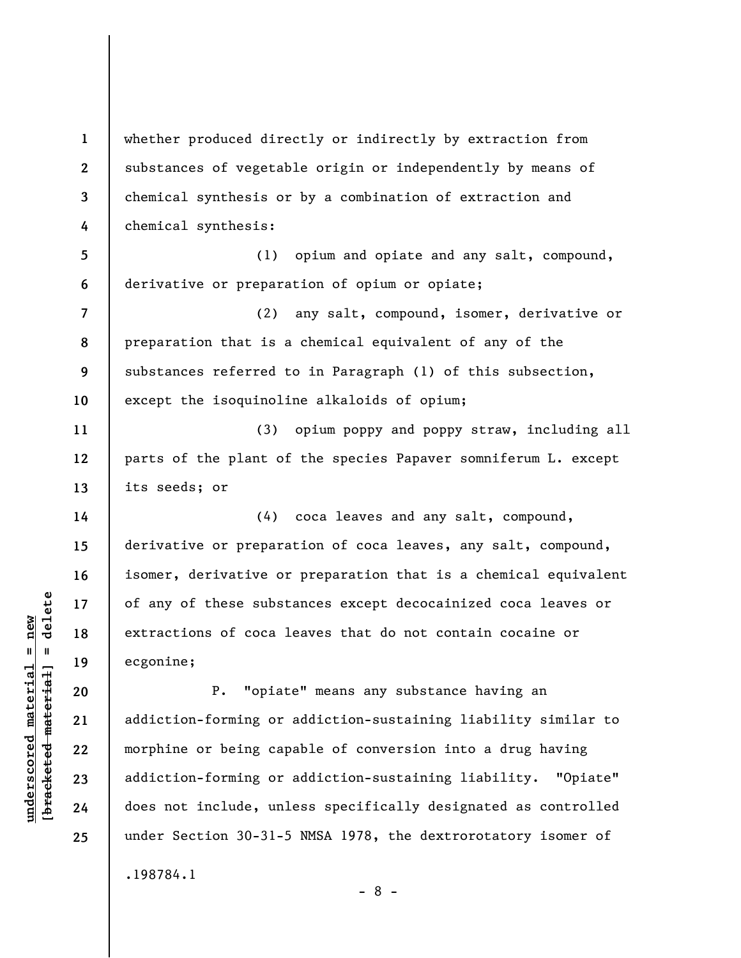**3 4 5 6 7 8 9 10 11 12 13 14 15 16**   $\frac{1}{2}$  intereted material = delete **[bracketed material] = delete 17**   $underscored material = new$ **underscored material = new 18 19 20 21 22 23 24** 

**25** 

.198784.1

**1** 

**2** 

whether produced directly or indirectly by extraction from substances of vegetable origin or independently by means of chemical synthesis or by a combination of extraction and chemical synthesis:

(1) opium and opiate and any salt, compound, derivative or preparation of opium or opiate;

(2) any salt, compound, isomer, derivative or preparation that is a chemical equivalent of any of the substances referred to in Paragraph (1) of this subsection, except the isoquinoline alkaloids of opium;

(3) opium poppy and poppy straw, including all parts of the plant of the species Papaver somniferum L. except its seeds; or

(4) coca leaves and any salt, compound, derivative or preparation of coca leaves, any salt, compound, isomer, derivative or preparation that is a chemical equivalent of any of these substances except decocainized coca leaves or extractions of coca leaves that do not contain cocaine or ecgonine;

P. "opiate" means any substance having an addiction-forming or addiction-sustaining liability similar to morphine or being capable of conversion into a drug having addiction-forming or addiction-sustaining liability. "Opiate" does not include, unless specifically designated as controlled under Section 30-31-5 NMSA 1978, the dextrorotatory isomer of

- 8 -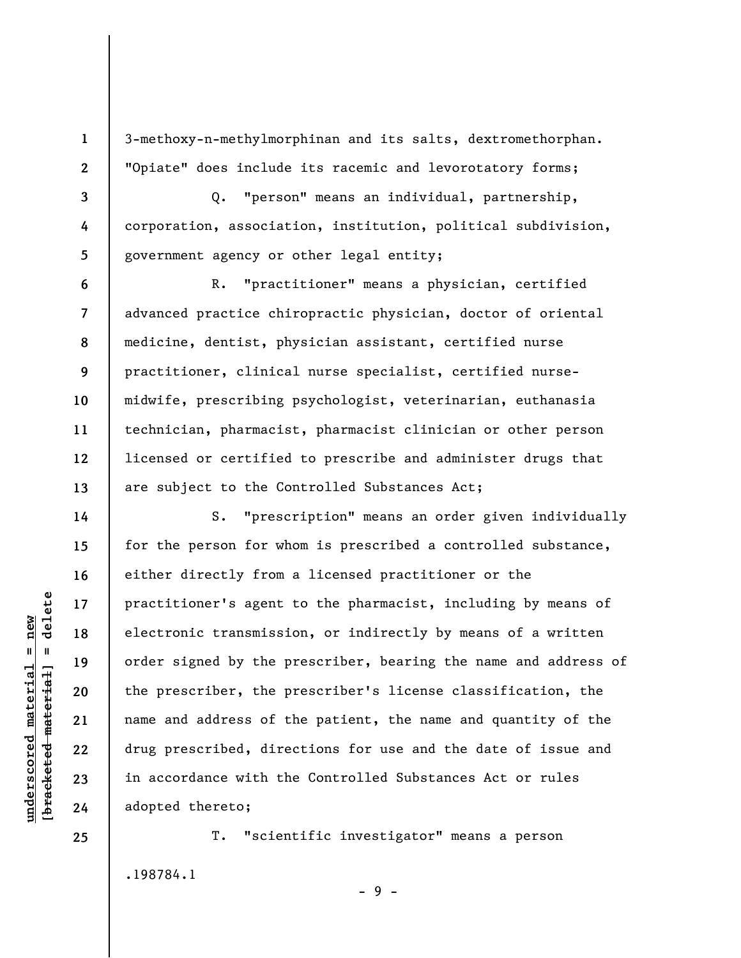3-methoxy-n-methylmorphinan and its salts, dextromethorphan. "Opiate" does include its racemic and levorotatory forms;

Q. "person" means an individual, partnership, corporation, association, institution, political subdivision, government agency or other legal entity;

R. "practitioner" means a physician, certified advanced practice chiropractic physician, doctor of oriental medicine, dentist, physician assistant, certified nurse practitioner, clinical nurse specialist, certified nursemidwife, prescribing psychologist, veterinarian, euthanasia technician, pharmacist, pharmacist clinician or other person licensed or certified to prescribe and administer drugs that are subject to the Controlled Substances Act;

S. "prescription" means an order given individually for the person for whom is prescribed a controlled substance, either directly from a licensed practitioner or the practitioner's agent to the pharmacist, including by means of electronic transmission, or indirectly by means of a written order signed by the prescriber, bearing the name and address of the prescriber, the prescriber's license classification, the name and address of the patient, the name and quantity of the drug prescribed, directions for use and the date of issue and in accordance with the Controlled Substances Act or rules adopted thereto;

T. "scientific investigator" means a person .198784.1

- 9 -

 $\frac{1}{2}$  of  $\frac{1}{2}$  and  $\frac{1}{2}$  and  $\frac{1}{2}$  and  $\frac{1}{2}$  and  $\frac{1}{2}$  and  $\frac{1}{2}$  and  $\frac{1}{2}$  and  $\frac{1}{2}$  and  $\frac{1}{2}$  and  $\frac{1}{2}$  and  $\frac{1}{2}$  and  $\frac{1}{2}$  and  $\frac{1}{2}$  and  $\frac{1}{2}$  and  $\frac{1}{2}$  an **[bracketed material] = delete**  $underscored material = new$ **underscored material = new**

**1** 

**2** 

**3** 

**4** 

**5** 

**6** 

**7** 

**8** 

**9** 

**10** 

**11** 

**12** 

**13** 

**14** 

**15** 

**16** 

**17** 

**18** 

**19** 

**20** 

**21** 

**22** 

**23** 

**24**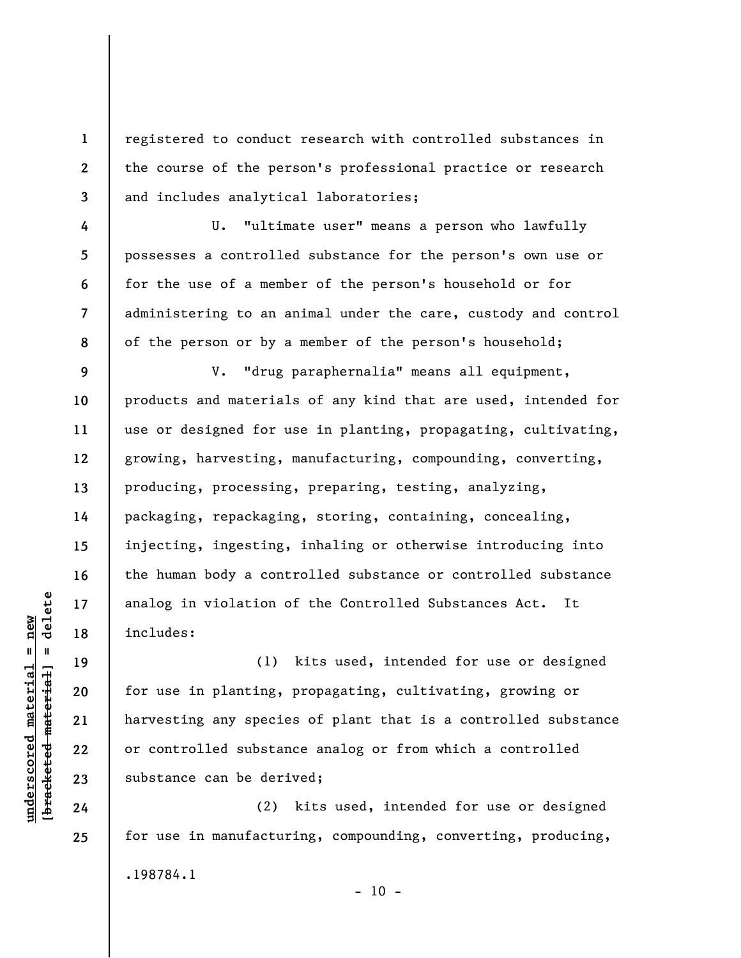registered to conduct research with controlled substances in the course of the person's professional practice or research and includes analytical laboratories;

U. "ultimate user" means a person who lawfully possesses a controlled substance for the person's own use or for the use of a member of the person's household or for administering to an animal under the care, custody and control of the person or by a member of the person's household;

**9 10 11 12 13 14 15 16 17 18**  V. "drug paraphernalia" means all equipment, products and materials of any kind that are used, intended for use or designed for use in planting, propagating, cultivating, growing, harvesting, manufacturing, compounding, converting, producing, processing, preparing, testing, analyzing, packaging, repackaging, storing, containing, concealing, injecting, ingesting, inhaling or otherwise introducing into the human body a controlled substance or controlled substance analog in violation of the Controlled Substances Act. It includes:

(1) kits used, intended for use or designed for use in planting, propagating, cultivating, growing or harvesting any species of plant that is a controlled substance or controlled substance analog or from which a controlled substance can be derived;

(2) kits used, intended for use or designed for use in manufacturing, compounding, converting, producing, .198784.1  $- 10 -$ 

 $\frac{1}{2}$  intereted material = delete **[bracketed material] = delete**  $underscored material = new$ **underscored material = new**

**19** 

**20** 

**21** 

**22** 

**23** 

**24** 

**25** 

**1** 

**2** 

**3** 

**4** 

**5** 

**6** 

**7**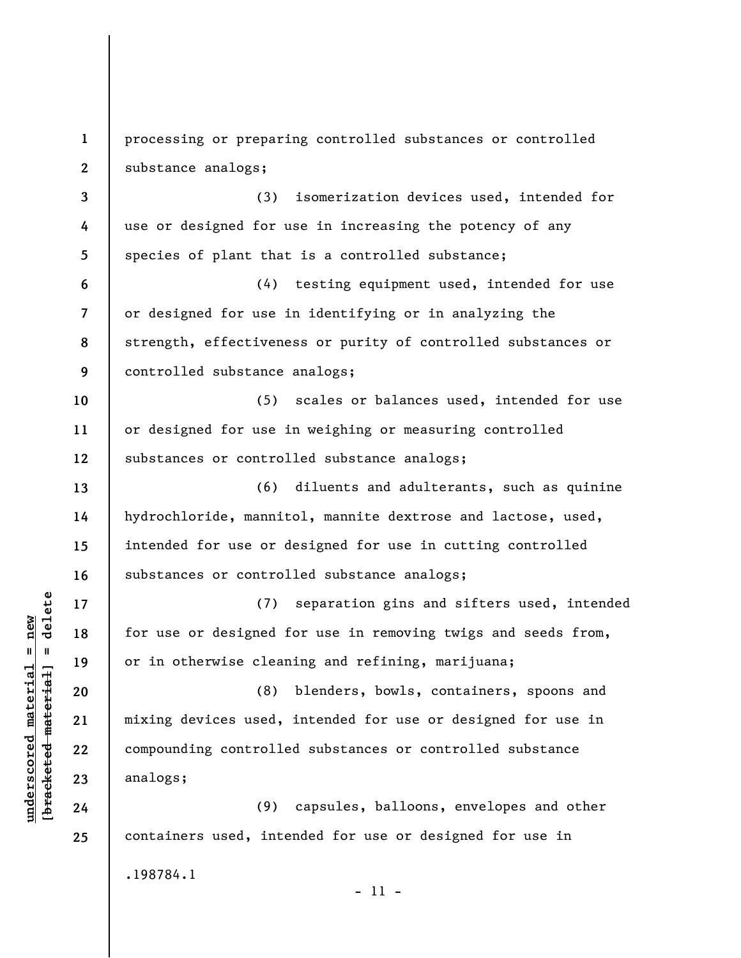**1 2 3 4 5 6 7 8 9 10 11 12 13 14 15 16 17 18 19 20 21 22 23 24 25**  processing or preparing controlled substances or controlled substance analogs; (3) isomerization devices used, intended for use or designed for use in increasing the potency of any species of plant that is a controlled substance; (4) testing equipment used, intended for use or designed for use in identifying or in analyzing the strength, effectiveness or purity of controlled substances or controlled substance analogs; (5) scales or balances used, intended for use or designed for use in weighing or measuring controlled substances or controlled substance analogs; (6) diluents and adulterants, such as quinine hydrochloride, mannitol, mannite dextrose and lactose, used, intended for use or designed for use in cutting controlled substances or controlled substance analogs; (7) separation gins and sifters used, intended for use or designed for use in removing twigs and seeds from, or in otherwise cleaning and refining, marijuana; (8) blenders, bowls, containers, spoons and mixing devices used, intended for use or designed for use in compounding controlled substances or controlled substance analogs; (9) capsules, balloons, envelopes and other containers used, intended for use or designed for use in .198784.1 - 11 -

**underscored material = new [bracketed material] = delete**

 $\frac{1}{2}$  of  $\frac{1}{2}$  and  $\frac{1}{2}$  and  $\frac{1}{2}$  and  $\frac{1}{2}$  and  $\frac{1}{2}$  and  $\frac{1}{2}$  and  $\frac{1}{2}$  and  $\frac{1}{2}$  and  $\frac{1}{2}$  and  $\frac{1}{2}$  and  $\frac{1}{2}$  and  $\frac{1}{2}$  and  $\frac{1}{2}$  and  $\frac{1}{2}$  and  $\frac{1}{2}$  an  $underscored material = new$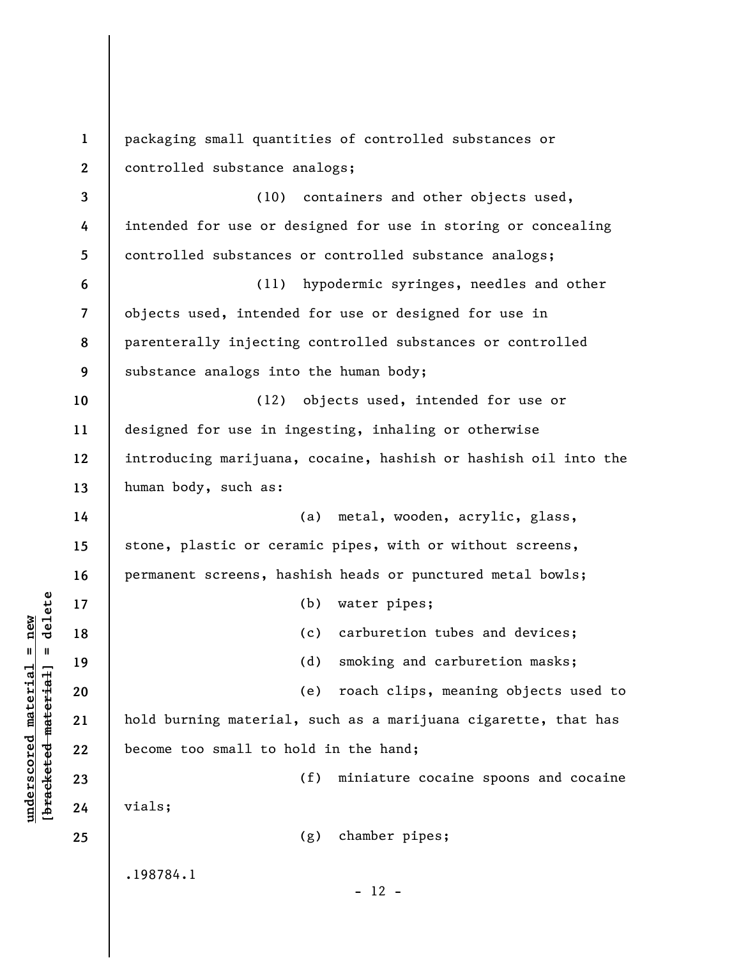| $\mathbf{1}$   | packaging small quantities of controlled substances or          |
|----------------|-----------------------------------------------------------------|
| $\mathbf{2}$   | controlled substance analogs;                                   |
| 3              | (10) containers and other objects used,                         |
| 4              | intended for use or designed for use in storing or concealing   |
| 5              | controlled substances or controlled substance analogs;          |
| 6              | hypodermic syringes, needles and other<br>(11)                  |
| $\overline{7}$ | objects used, intended for use or designed for use in           |
| 8              | parenterally injecting controlled substances or controlled      |
| 9              | substance analogs into the human body;                          |
| 10             | objects used, intended for use or<br>(12)                       |
| 11             | designed for use in ingesting, inhaling or otherwise            |
| 12             | introducing marijuana, cocaine, hashish or hashish oil into the |
| 13             | human body, such as:                                            |
| 14             | (a) metal, wooden, acrylic, glass,                              |
| 15             | stone, plastic or ceramic pipes, with or without screens,       |
| 16             | permanent screens, hashish heads or punctured metal bowls;      |
| 17             | (b)<br>water pipes;                                             |
| 18             | carburetion tubes and devices;<br>(c)                           |
| 19             | (d)<br>smoking and carburetion masks;                           |
| 20             | roach clips, meaning objects used to<br>(e)                     |
| 21             | hold burning material, such as a marijuana cigarette, that has  |
| 22             | become too small to hold in the hand;                           |
| 23             | (f)<br>miniature cocaine spoons and cocaine                     |
| 24             | vials;                                                          |
| 25             | chamber pipes;<br>(g)                                           |
|                | .198784.1<br>$-12 -$                                            |

**underscored material = new [bracketed material] = delete**

 $[bracketeed-materiat] = delete$  $underscored material = new$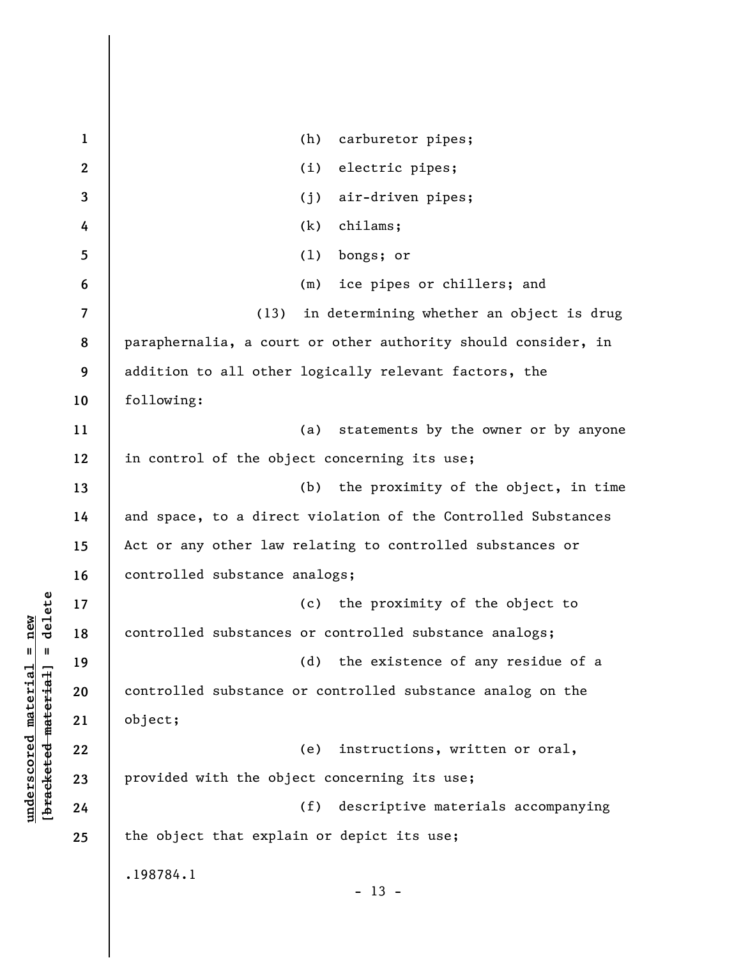| $\mathbf{1}$            | (h)<br>carburetor pipes;                                      |
|-------------------------|---------------------------------------------------------------|
| $\mathbf{2}$            | electric pipes;<br>(i)                                        |
| 3                       | air-driven pipes;<br>(j)                                      |
| 4                       | chilams;<br>(k)                                               |
| 5                       | bongs; or<br>(1)                                              |
| 6                       | (m) ice pipes or chillers; and                                |
| $\overline{\mathbf{z}}$ | in determining whether an object is drug<br>(13)              |
| 8                       | paraphernalia, a court or other authority should consider, in |
| 9                       | addition to all other logically relevant factors, the         |
| 10                      | following:                                                    |
| 11                      | (a) statements by the owner or by anyone                      |
| 12                      | in control of the object concerning its use;                  |
| 13                      | (b) the proximity of the object, in time                      |
| 14                      | and space, to a direct violation of the Controlled Substances |
| 15                      | Act or any other law relating to controlled substances or     |
| 16                      | controlled substance analogs;                                 |
| 17                      | (c) the proximity of the object to                            |
| 18                      | controlled substances or controlled substance analogs;        |
| 19                      | (d) the existence of any residue of a                         |
| 20                      | controlled substance or controlled substance analog on the    |
| 21                      | object;                                                       |
| 22                      | instructions, written or oral,<br>(e)                         |
| 23                      | provided with the object concerning its use;                  |
| 24                      | (f)<br>descriptive materials accompanying                     |
| 25                      | the object that explain or depict its use;                    |
|                         | .198784.1<br>$13 -$                                           |

 $[**bracket eted metert et**] = **del et e**$ **[bracketed material] = delete**  $underscored material = new$ **underscored material = new**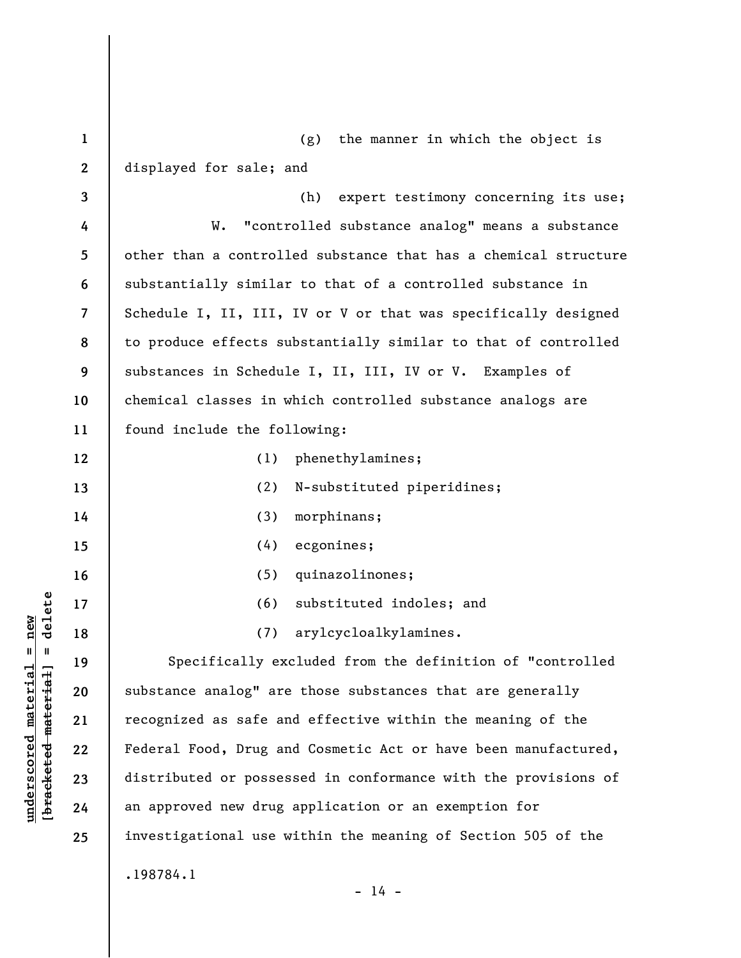| $\mathbf{1}$            | (g) the manner in which the object is                           |
|-------------------------|-----------------------------------------------------------------|
| $\mathbf{2}$            | displayed for sale; and                                         |
| 3                       | (h)<br>expert testimony concerning its use;                     |
| 4                       | "controlled substance analog" means a substance<br>W.           |
| 5                       | other than a controlled substance that has a chemical structure |
| 6                       | substantially similar to that of a controlled substance in      |
| $\overline{\mathbf{7}}$ | Schedule I, II, III, IV or V or that was specifically designed  |
| 8                       | to produce effects substantially similar to that of controlled  |
| 9                       | substances in Schedule I, II, III, IV or V. Examples of         |
| 10                      | chemical classes in which controlled substance analogs are      |
| 11                      | found include the following:                                    |
| 12                      | phenethylamines;<br>(1)                                         |
| 13                      | (2)<br>N-substituted piperidines;                               |
| 14                      | (3)<br>morphinans;                                              |
| 15                      | (4)<br>ecgonines;                                               |
| 16                      | quinazolinones;<br>(5)                                          |
| 17                      | substituted indoles; and<br>(6)                                 |
| 18                      | arylcycloalkylamines.<br>(7)                                    |
| 19                      | Specifically excluded from the definition of "controlled        |
| 20                      | substance analog" are those substances that are generally       |
| 21                      | recognized as safe and effective within the meaning of the      |
| 22                      | Federal Food, Drug and Cosmetic Act or have been manufactured,  |
| 23                      | distributed or possessed in conformance with the provisions of  |
| 24                      | an approved new drug application or an exemption for            |
| 25                      | investigational use within the meaning of Section 505 of the    |
|                         | .198784.1<br>$-14 -$                                            |

**underscored material = new [bracketed material] = delete**

 $[bracketeed-materiat] = delete$  $underscored material = new$